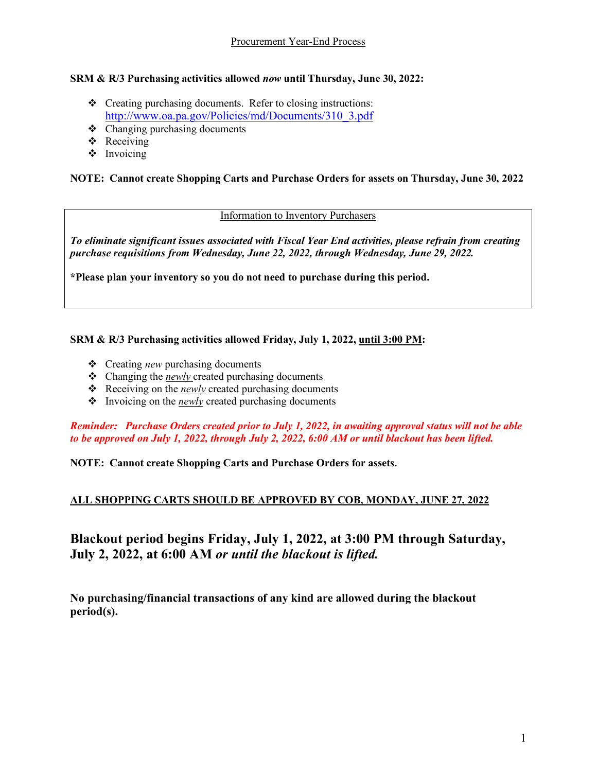# **SRM & R/3 Purchasing activities allowed** *now* **until Thursday, June 30, 2022:**

- Creating purchasing documents. Refer to closing instructions: [http://www.oa.pa.gov/Policies/md/Documents/310\\_3.pdf](http://www.oa.pa.gov/Policies/md/Documents/310_3.pdf)
- $\triangleleft$  Changing purchasing documents
- ❖ Receiving
- $\triangleleft$  Invoicing

# **NOTE: Cannot create Shopping Carts and Purchase Orders for assets on Thursday, June 30, 2022**

#### Information to Inventory Purchasers

*To eliminate significant issues associated with Fiscal Year End activities, please refrain from creating purchase requisitions from Wednesday, June 22, 2022, through Wednesday, June 29, 2022.*

**\*Please plan your inventory so you do not need to purchase during this period.**

# **SRM & R/3 Purchasing activities allowed Friday, July 1, 2022, until 3:00 PM:**

- Creating *new* purchasing documents
- Changing the *newly* created purchasing documents
- Receiving on the *newly* created purchasing documents
- Invoicing on the *newly* created purchasing documents

*Reminder: Purchase Orders created prior to July 1, 2022, in awaiting approval status will not be able to be approved on July 1, 2022, through July 2, 2022, 6:00 AM or until blackout has been lifted.*

**NOTE: Cannot create Shopping Carts and Purchase Orders for assets.**

# **ALL SHOPPING CARTS SHOULD BE APPROVED BY COB, MONDAY, JUNE 27, 2022**

**Blackout period begins Friday, July 1, 2022, at 3:00 PM through Saturday, July 2, 2022, at 6:00 AM** *or until the blackout is lifted.*

**No purchasing/financial transactions of any kind are allowed during the blackout period(s).**